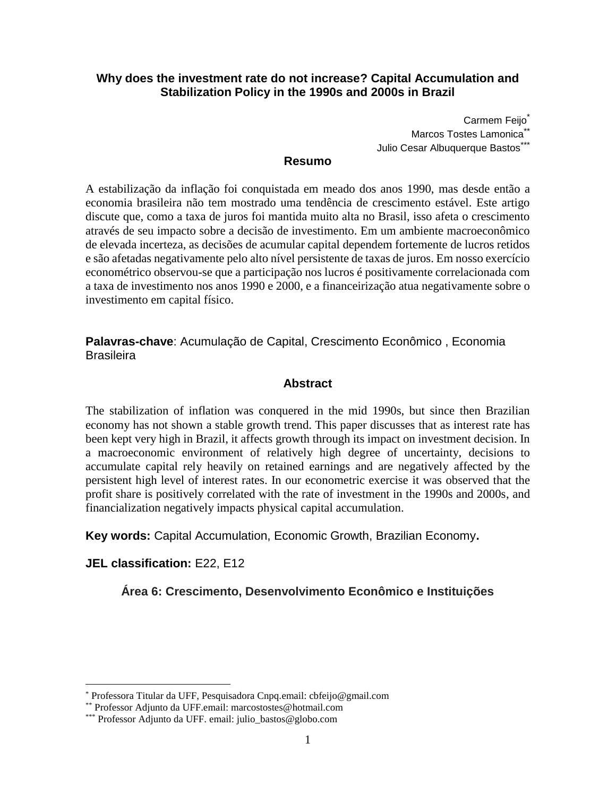## **Why does the investment rate do not increase? Capital Accumulation and Stabilization Policy in the 1990s and 2000s in Brazil**

Carmem Feijo\* Marcos Tostes Lamonica<sup>\*\*</sup> Julio Cesar Albuquerque Bastos\*\*\*

#### **Resumo**

A estabilização da inflação foi conquistada em meado dos anos 1990, mas desde então a economia brasileira não tem mostrado uma tendência de crescimento estável. Este artigo discute que, como a taxa de juros foi mantida muito alta no Brasil, isso afeta o crescimento através de seu impacto sobre a decisão de investimento. Em um ambiente macroeconômico de elevada incerteza, as decisões de acumular capital dependem fortemente de lucros retidos e são afetadas negativamente pelo alto nível persistente de taxas de juros. Em nosso exercício econométrico observou-se que a participação nos lucros é positivamente correlacionada com a taxa de investimento nos anos 1990 e 2000, e a financeirização atua negativamente sobre o investimento em capital físico.

**Palavras-chave**: Acumulação de Capital, Crescimento Econômico , Economia **Brasileira** 

### **Abstract**

The stabilization of inflation was conquered in the mid 1990s, but since then Brazilian economy has not shown a stable growth trend. This paper discusses that as interest rate has been kept very high in Brazil, it affects growth through its impact on investment decision. In a macroeconomic environment of relatively high degree of uncertainty, decisions to accumulate capital rely heavily on retained earnings and are negatively affected by the persistent high level of interest rates. In our econometric exercise it was observed that the profit share is positively correlated with the rate of investment in the 1990s and 2000s, and financialization negatively impacts physical capital accumulation.

**Key words:** Capital Accumulation, Economic Growth, Brazilian Economy**.**

## **JEL classification:** E22, E12

 $\overline{a}$ 

**Área 6: Crescimento, Desenvolvimento Econômico e Instituições**

<sup>\*</sup> Professora Titular da UFF, Pesquisadora Cnpq.email: cbfeijo@gmail.com

<sup>\*\*</sup> Professor Adjunto da UFF.email: marcostostes@hotmail.com

<sup>\*\*\*</sup> Professor Adjunto da UFF. email: julio\_bastos@globo.com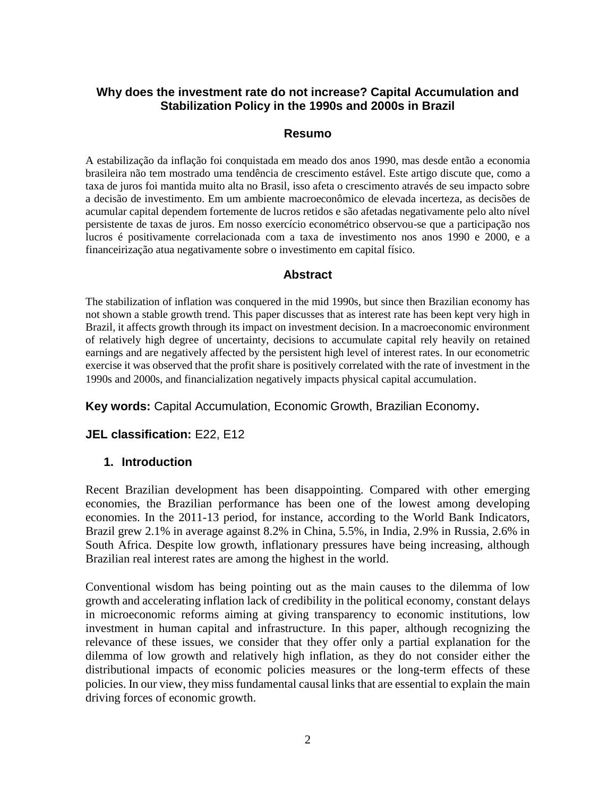## **Why does the investment rate do not increase? Capital Accumulation and Stabilization Policy in the 1990s and 2000s in Brazil**

#### **Resumo**

A estabilização da inflação foi conquistada em meado dos anos 1990, mas desde então a economia brasileira não tem mostrado uma tendência de crescimento estável. Este artigo discute que, como a taxa de juros foi mantida muito alta no Brasil, isso afeta o crescimento através de seu impacto sobre a decisão de investimento. Em um ambiente macroeconômico de elevada incerteza, as decisões de acumular capital dependem fortemente de lucros retidos e são afetadas negativamente pelo alto nível persistente de taxas de juros. Em nosso exercício econométrico observou-se que a participação nos lucros é positivamente correlacionada com a taxa de investimento nos anos 1990 e 2000, e a financeirização atua negativamente sobre o investimento em capital físico.

### **Abstract**

The stabilization of inflation was conquered in the mid 1990s, but since then Brazilian economy has not shown a stable growth trend. This paper discusses that as interest rate has been kept very high in Brazil, it affects growth through its impact on investment decision. In a macroeconomic environment of relatively high degree of uncertainty, decisions to accumulate capital rely heavily on retained earnings and are negatively affected by the persistent high level of interest rates. In our econometric exercise it was observed that the profit share is positively correlated with the rate of investment in the 1990s and 2000s, and financialization negatively impacts physical capital accumulation.

#### **Key words:** Capital Accumulation, Economic Growth, Brazilian Economy**.**

#### **JEL classification:** E22, E12

#### **1. Introduction**

Recent Brazilian development has been disappointing. Compared with other emerging economies, the Brazilian performance has been one of the lowest among developing economies. In the 2011-13 period, for instance, according to the World Bank Indicators, Brazil grew 2.1% in average against 8.2% in China, 5.5%, in India, 2.9% in Russia, 2.6% in South Africa. Despite low growth, inflationary pressures have being increasing, although Brazilian real interest rates are among the highest in the world.

Conventional wisdom has being pointing out as the main causes to the dilemma of low growth and accelerating inflation lack of credibility in the political economy, constant delays in microeconomic reforms aiming at giving transparency to economic institutions, low investment in human capital and infrastructure. In this paper, although recognizing the relevance of these issues, we consider that they offer only a partial explanation for the dilemma of low growth and relatively high inflation, as they do not consider either the distributional impacts of economic policies measures or the long-term effects of these policies. In our view, they miss fundamental causal links that are essential to explain the main driving forces of economic growth.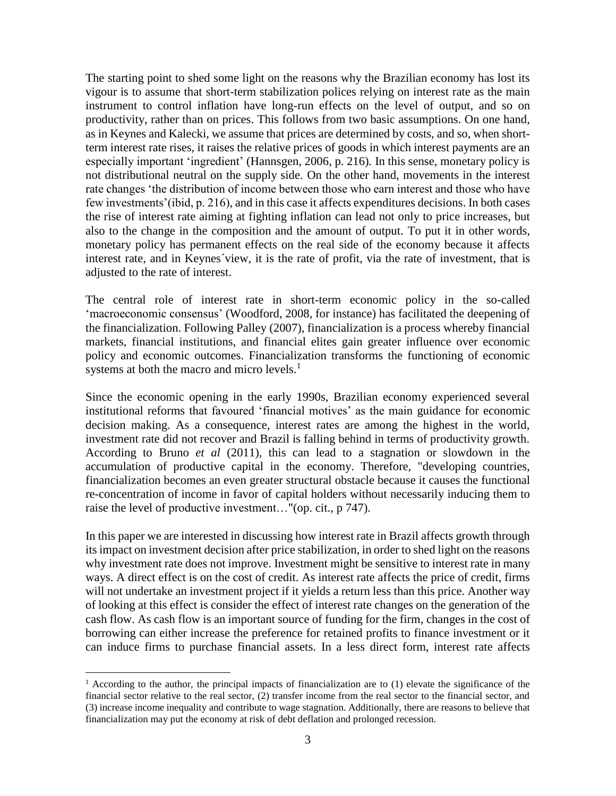The starting point to shed some light on the reasons why the Brazilian economy has lost its vigour is to assume that short-term stabilization polices relying on interest rate as the main instrument to control inflation have long-run effects on the level of output, and so on productivity, rather than on prices. This follows from two basic assumptions. On one hand, as in Keynes and Kalecki, we assume that prices are determined by costs, and so, when shortterm interest rate rises, it raises the relative prices of goods in which interest payments are an especially important 'ingredient' (Hannsgen, 2006, p. 216)*.* In this sense, monetary policy is not distributional neutral on the supply side. On the other hand, movements in the interest rate changes 'the distribution of income between those who earn interest and those who have few investments'(ibid, p. 216), and in this case it affects expenditures decisions. In both cases the rise of interest rate aiming at fighting inflation can lead not only to price increases, but also to the change in the composition and the amount of output. To put it in other words, monetary policy has permanent effects on the real side of the economy because it affects interest rate, and in Keynes´view, it is the rate of profit, via the rate of investment, that is adjusted to the rate of interest.

The central role of interest rate in short-term economic policy in the so-called 'macroeconomic consensus' (Woodford, 2008, for instance) has facilitated the deepening of the financialization. Following Palley (2007), financialization is a process whereby financial markets, financial institutions, and financial elites gain greater influence over economic policy and economic outcomes. Financialization transforms the functioning of economic systems at both the macro and micro levels. $<sup>1</sup>$ </sup>

Since the economic opening in the early 1990s, Brazilian economy experienced several institutional reforms that favoured 'financial motives' as the main guidance for economic decision making. As a consequence, interest rates are among the highest in the world, investment rate did not recover and Brazil is falling behind in terms of productivity growth. According to Bruno *et al* (2011), this can lead to a stagnation or slowdown in the accumulation of productive capital in the economy. Therefore, "developing countries, financialization becomes an even greater structural obstacle because it causes the functional re-concentration of income in favor of capital holders without necessarily inducing them to raise the level of productive investment…"(op. cit., p 747).

In this paper we are interested in discussing how interest rate in Brazil affects growth through its impact on investment decision after price stabilization, in order to shed light on the reasons why investment rate does not improve. Investment might be sensitive to interest rate in many ways. A direct effect is on the cost of credit. As interest rate affects the price of credit, firms will not undertake an investment project if it yields a return less than this price. Another way of looking at this effect is consider the effect of interest rate changes on the generation of the cash flow. As cash flow is an important source of funding for the firm, changes in the cost of borrowing can either increase the preference for retained profits to finance investment or it can induce firms to purchase financial assets. In a less direct form, interest rate affects

<sup>&</sup>lt;sup>1</sup> According to the author, the principal impacts of financialization are to (1) elevate the significance of the financial sector relative to the real sector, (2) transfer income from the real sector to the financial sector, and (3) increase income inequality and contribute to wage stagnation. Additionally, there are reasons to believe that financialization may put the economy at risk of debt deflation and prolonged recession.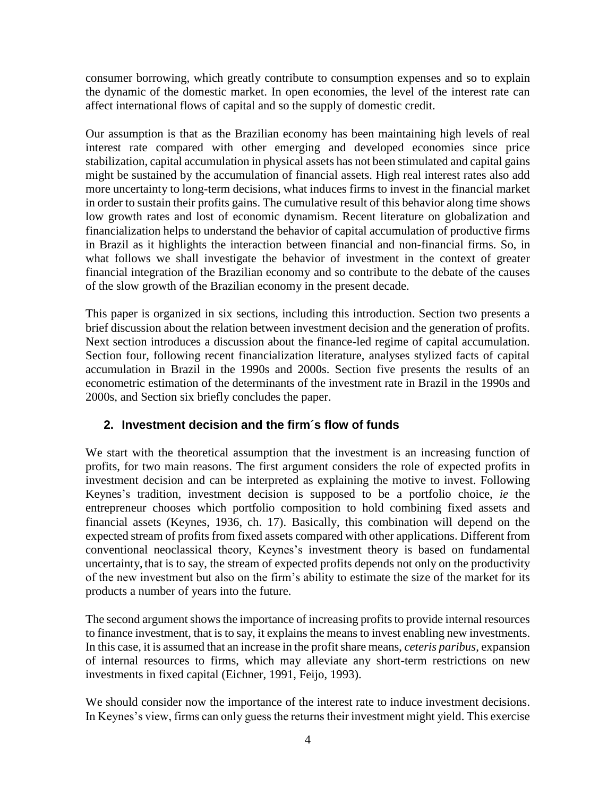consumer borrowing, which greatly contribute to consumption expenses and so to explain the dynamic of the domestic market. In open economies, the level of the interest rate can affect international flows of capital and so the supply of domestic credit.

Our assumption is that as the Brazilian economy has been maintaining high levels of real interest rate compared with other emerging and developed economies since price stabilization, capital accumulation in physical assets has not been stimulated and capital gains might be sustained by the accumulation of financial assets. High real interest rates also add more uncertainty to long-term decisions, what induces firms to invest in the financial market in order to sustain their profits gains. The cumulative result of this behavior along time shows low growth rates and lost of economic dynamism. Recent literature on globalization and financialization helps to understand the behavior of capital accumulation of productive firms in Brazil as it highlights the interaction between financial and non-financial firms. So, in what follows we shall investigate the behavior of investment in the context of greater financial integration of the Brazilian economy and so contribute to the debate of the causes of the slow growth of the Brazilian economy in the present decade.

This paper is organized in six sections, including this introduction. Section two presents a brief discussion about the relation between investment decision and the generation of profits. Next section introduces a discussion about the finance-led regime of capital accumulation. Section four, following recent financialization literature, analyses stylized facts of capital accumulation in Brazil in the 1990s and 2000s. Section five presents the results of an econometric estimation of the determinants of the investment rate in Brazil in the 1990s and 2000s, and Section six briefly concludes the paper.

# **2. Investment decision and the firm´s flow of funds**

We start with the theoretical assumption that the investment is an increasing function of profits, for two main reasons. The first argument considers the role of expected profits in investment decision and can be interpreted as explaining the motive to invest. Following Keynes's tradition, investment decision is supposed to be a portfolio choice, *ie* the entrepreneur chooses which portfolio composition to hold combining fixed assets and financial assets (Keynes, 1936, ch. 17). Basically, this combination will depend on the expected stream of profits from fixed assets compared with other applications. Different from conventional neoclassical theory, Keynes's investment theory is based on fundamental uncertainty, that is to say, the stream of expected profits depends not only on the productivity of the new investment but also on the firm's ability to estimate the size of the market for its products a number of years into the future.

The second argument shows the importance of increasing profits to provide internal resources to finance investment, that is to say, it explains the means to invest enabling new investments. In this case, it is assumed that an increase in the profit share means, *ceteris paribus*, expansion of internal resources to firms, which may alleviate any short-term restrictions on new investments in fixed capital (Eichner, 1991, Feijo, 1993).

We should consider now the importance of the interest rate to induce investment decisions. In Keynes's view, firms can only guess the returns their investment might yield. This exercise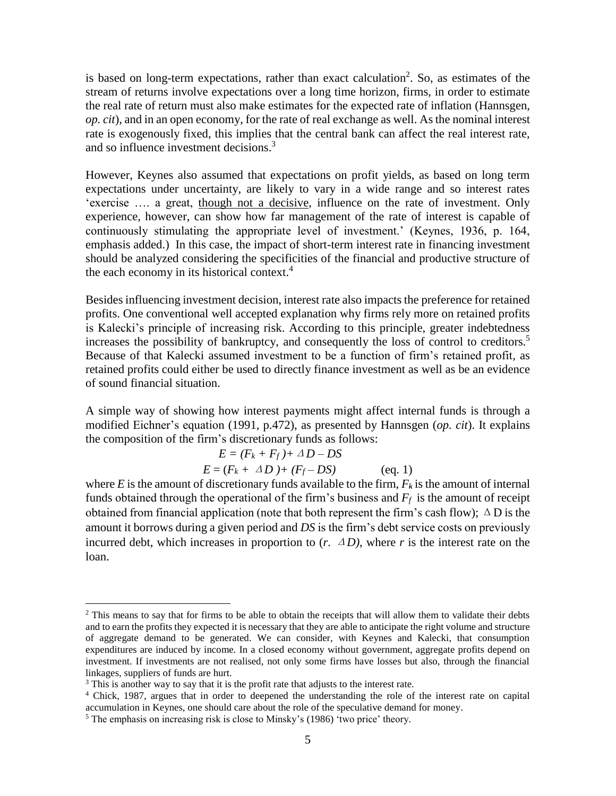is based on long-term expectations, rather than exact calculation<sup>2</sup>. So, as estimates of the stream of returns involve expectations over a long time horizon, firms, in order to estimate the real rate of return must also make estimates for the expected rate of inflation (Hannsgen, *op. cit*), and in an open economy, for the rate of real exchange as well. As the nominal interest rate is exogenously fixed, this implies that the central bank can affect the real interest rate, and so influence investment decisions. 3

However, Keynes also assumed that expectations on profit yields, as based on long term expectations under uncertainty, are likely to vary in a wide range and so interest rates 'exercise …. a great, though not a decisive, influence on the rate of investment. Only experience, however, can show how far management of the rate of interest is capable of continuously stimulating the appropriate level of investment.' (Keynes, 1936, p. 164, emphasis added.) In this case, the impact of short-term interest rate in financing investment should be analyzed considering the specificities of the financial and productive structure of the each economy in its historical context.<sup>4</sup>

Besides influencing investment decision, interest rate also impacts the preference for retained profits. One conventional well accepted explanation why firms rely more on retained profits is Kalecki's principle of increasing risk. According to this principle, greater indebtedness increases the possibility of bankruptcy, and consequently the loss of control to creditors.<sup>5</sup> Because of that Kalecki assumed investment to be a function of firm's retained profit, as retained profits could either be used to directly finance investment as well as be an evidence of sound financial situation.

A simple way of showing how interest payments might affect internal funds is through a modified Eichner's equation (1991, p.472), as presented by Hannsgen (*op. cit*). It explains the composition of the firm's discretionary funds as follows:

$$
E = (F_k + F_f) + \Delta D - DS
$$
  
\n
$$
E = (F_k + \Delta D) + (F_f - DS)
$$
 (eq. 1)

where *E* is the amount of discretionary funds available to the firm,  $F_k$  is the amount of internal funds obtained through the operational of the firm's business and  $F_f$  is the amount of receipt obtained from financial application (note that both represent the firm's cash flow);  $\Delta D$  is the amount it borrows during a given period and *DS* is the firm's debt service costs on previously incurred debt, which increases in proportion to  $(r, \Delta D)$ , where *r* is the interest rate on the loan.

<sup>&</sup>lt;sup>2</sup> This means to say that for firms to be able to obtain the receipts that will allow them to validate their debts and to earn the profits they expected it is necessary that they are able to anticipate the right volume and structure of aggregate demand to be generated. We can consider, with Keynes and Kalecki, that consumption expenditures are induced by income. In a closed economy without government, aggregate profits depend on investment. If investments are not realised, not only some firms have losses but also, through the financial linkages, suppliers of funds are hurt.

<sup>&</sup>lt;sup>3</sup> This is another way to say that it is the profit rate that adjusts to the interest rate.

<sup>4</sup> Chick, 1987, argues that in order to deepened the understanding the role of the interest rate on capital accumulation in Keynes, one should care about the role of the speculative demand for money.

<sup>&</sup>lt;sup>5</sup> The emphasis on increasing risk is close to Minsky's (1986) 'two price' theory.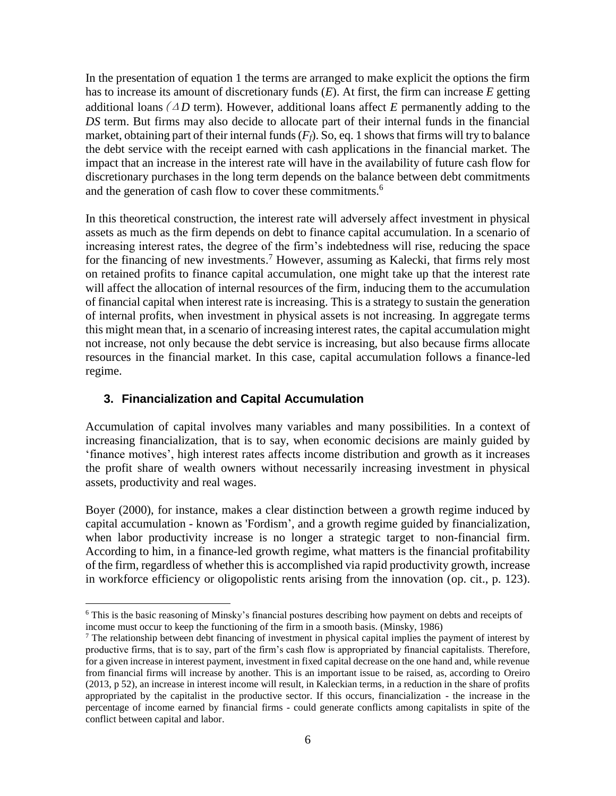In the presentation of equation 1 the terms are arranged to make explicit the options the firm has to increase its amount of discretionary funds (*E*). At first, the firm can increase *E* getting additional loans ( $\Delta D$  term). However, additional loans affect *E* permanently adding to the *DS* term. But firms may also decide to allocate part of their internal funds in the financial market, obtaining part of their internal funds(*Ff*). So, eq. 1 shows that firms will try to balance the debt service with the receipt earned with cash applications in the financial market. The impact that an increase in the interest rate will have in the availability of future cash flow for discretionary purchases in the long term depends on the balance between debt commitments and the generation of cash flow to cover these commitments.<sup>6</sup>

In this theoretical construction, the interest rate will adversely affect investment in physical assets as much as the firm depends on debt to finance capital accumulation. In a scenario of increasing interest rates, the degree of the firm's indebtedness will rise, reducing the space for the financing of new investments. <sup>7</sup> However, assuming as Kalecki, that firms rely most on retained profits to finance capital accumulation, one might take up that the interest rate will affect the allocation of internal resources of the firm, inducing them to the accumulation of financial capital when interest rate is increasing. This is a strategy to sustain the generation of internal profits, when investment in physical assets is not increasing. In aggregate terms this might mean that, in a scenario of increasing interest rates, the capital accumulation might not increase, not only because the debt service is increasing, but also because firms allocate resources in the financial market. In this case, capital accumulation follows a finance-led regime.

## **3. Financialization and Capital Accumulation**

 $\overline{a}$ 

Accumulation of capital involves many variables and many possibilities. In a context of increasing financialization, that is to say, when economic decisions are mainly guided by 'finance motives', high interest rates affects income distribution and growth as it increases the profit share of wealth owners without necessarily increasing investment in physical assets, productivity and real wages.

Boyer (2000), for instance, makes a clear distinction between a growth regime induced by capital accumulation - known as 'Fordism', and a growth regime guided by financialization, when labor productivity increase is no longer a strategic target to non-financial firm. According to him, in a finance-led growth regime, what matters is the financial profitability of the firm, regardless of whether this is accomplished via rapid productivity growth, increase in workforce efficiency or oligopolistic rents arising from the innovation (op. cit., p. 123).

<sup>&</sup>lt;sup>6</sup> This is the basic reasoning of Minsky's financial postures describing how payment on debts and receipts of income must occur to keep the functioning of the firm in a smooth basis. (Minsky, 1986)

 $<sup>7</sup>$  The relationship between debt financing of investment in physical capital implies the payment of interest by</sup> productive firms, that is to say, part of the firm's cash flow is appropriated by financial capitalists. Therefore, for a given increase in interest payment, investment in fixed capital decrease on the one hand and, while revenue from financial firms will increase by another. This is an important issue to be raised, as, according to Oreiro (2013, p 52), an increase in interest income will result, in Kaleckian terms, in a reduction in the share of profits appropriated by the capitalist in the productive sector. If this occurs, financialization - the increase in the percentage of income earned by financial firms - could generate conflicts among capitalists in spite of the conflict between capital and labor.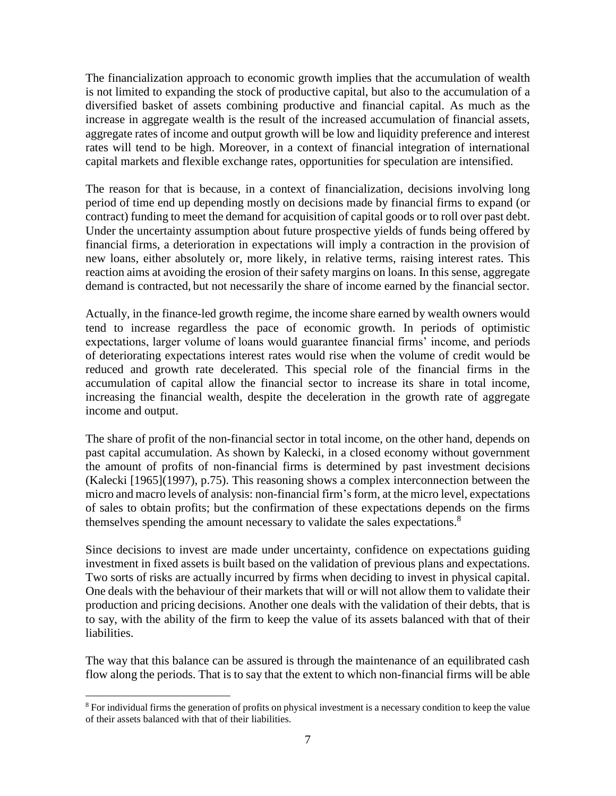The financialization approach to economic growth implies that the accumulation of wealth is not limited to expanding the stock of productive capital, but also to the accumulation of a diversified basket of assets combining productive and financial capital. As much as the increase in aggregate wealth is the result of the increased accumulation of financial assets, aggregate rates of income and output growth will be low and liquidity preference and interest rates will tend to be high. Moreover, in a context of financial integration of international capital markets and flexible exchange rates, opportunities for speculation are intensified.

The reason for that is because, in a context of financialization, decisions involving long period of time end up depending mostly on decisions made by financial firms to expand (or contract) funding to meet the demand for acquisition of capital goods or to roll over past debt. Under the uncertainty assumption about future prospective yields of funds being offered by financial firms, a deterioration in expectations will imply a contraction in the provision of new loans, either absolutely or, more likely, in relative terms, raising interest rates. This reaction aims at avoiding the erosion of their safety margins on loans. In this sense, aggregate demand is contracted, but not necessarily the share of income earned by the financial sector.

Actually, in the finance-led growth regime, the income share earned by wealth owners would tend to increase regardless the pace of economic growth. In periods of optimistic expectations, larger volume of loans would guarantee financial firms' income, and periods of deteriorating expectations interest rates would rise when the volume of credit would be reduced and growth rate decelerated. This special role of the financial firms in the accumulation of capital allow the financial sector to increase its share in total income, increasing the financial wealth, despite the deceleration in the growth rate of aggregate income and output.

The share of profit of the non-financial sector in total income, on the other hand, depends on past capital accumulation. As shown by Kalecki, in a closed economy without government the amount of profits of non-financial firms is determined by past investment decisions (Kalecki [1965](1997), p.75). This reasoning shows a complex interconnection between the micro and macro levels of analysis: non-financial firm's form, at the micro level, expectations of sales to obtain profits; but the confirmation of these expectations depends on the firms themselves spending the amount necessary to validate the sales expectations.<sup>8</sup>

Since decisions to invest are made under uncertainty, confidence on expectations guiding investment in fixed assets is built based on the validation of previous plans and expectations. Two sorts of risks are actually incurred by firms when deciding to invest in physical capital. One deals with the behaviour of their markets that will or will not allow them to validate their production and pricing decisions. Another one deals with the validation of their debts, that is to say, with the ability of the firm to keep the value of its assets balanced with that of their liabilities.

The way that this balance can be assured is through the maintenance of an equilibrated cash flow along the periods. That is to say that the extent to which non-financial firms will be able

<sup>&</sup>lt;sup>8</sup> For individual firms the generation of profits on physical investment is a necessary condition to keep the value of their assets balanced with that of their liabilities.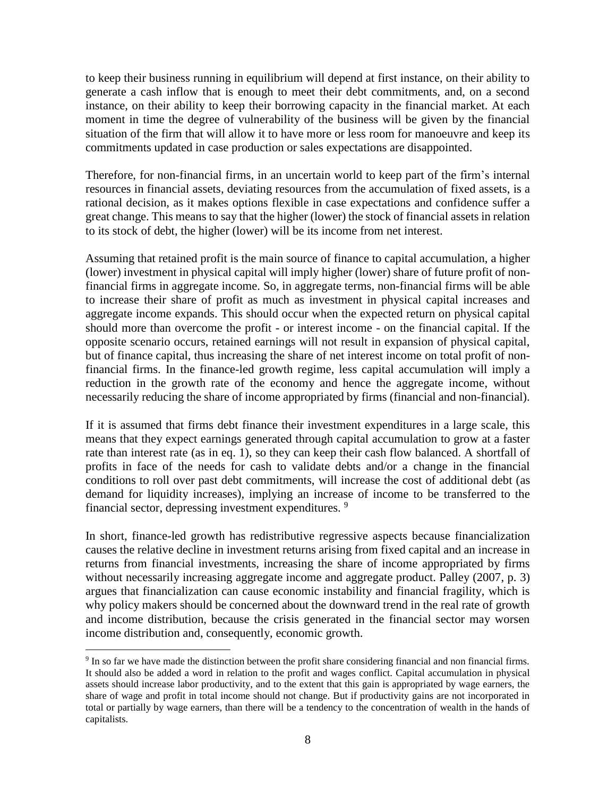to keep their business running in equilibrium will depend at first instance, on their ability to generate a cash inflow that is enough to meet their debt commitments, and, on a second instance, on their ability to keep their borrowing capacity in the financial market. At each moment in time the degree of vulnerability of the business will be given by the financial situation of the firm that will allow it to have more or less room for manoeuvre and keep its commitments updated in case production or sales expectations are disappointed.

Therefore, for non-financial firms, in an uncertain world to keep part of the firm's internal resources in financial assets, deviating resources from the accumulation of fixed assets, is a rational decision, as it makes options flexible in case expectations and confidence suffer a great change. This means to say that the higher (lower) the stock of financial assets in relation to its stock of debt, the higher (lower) will be its income from net interest.

Assuming that retained profit is the main source of finance to capital accumulation, a higher (lower) investment in physical capital will imply higher (lower) share of future profit of nonfinancial firms in aggregate income. So, in aggregate terms, non-financial firms will be able to increase their share of profit as much as investment in physical capital increases and aggregate income expands. This should occur when the expected return on physical capital should more than overcome the profit - or interest income - on the financial capital. If the opposite scenario occurs, retained earnings will not result in expansion of physical capital, but of finance capital, thus increasing the share of net interest income on total profit of nonfinancial firms. In the finance-led growth regime, less capital accumulation will imply a reduction in the growth rate of the economy and hence the aggregate income, without necessarily reducing the share of income appropriated by firms (financial and non-financial).

If it is assumed that firms debt finance their investment expenditures in a large scale, this means that they expect earnings generated through capital accumulation to grow at a faster rate than interest rate (as in eq. 1), so they can keep their cash flow balanced. A shortfall of profits in face of the needs for cash to validate debts and/or a change in the financial conditions to roll over past debt commitments, will increase the cost of additional debt (as demand for liquidity increases), implying an increase of income to be transferred to the financial sector, depressing investment expenditures.<sup>9</sup>

In short, finance-led growth has redistributive regressive aspects because financialization causes the relative decline in investment returns arising from fixed capital and an increase in returns from financial investments, increasing the share of income appropriated by firms without necessarily increasing aggregate income and aggregate product. Palley (2007, p. 3) argues that financialization can cause economic instability and financial fragility, which is why policy makers should be concerned about the downward trend in the real rate of growth and income distribution, because the crisis generated in the financial sector may worsen income distribution and, consequently, economic growth.

<sup>&</sup>lt;sup>9</sup> In so far we have made the distinction between the profit share considering financial and non financial firms. It should also be added a word in relation to the profit and wages conflict. Capital accumulation in physical assets should increase labor productivity, and to the extent that this gain is appropriated by wage earners, the share of wage and profit in total income should not change. But if productivity gains are not incorporated in total or partially by wage earners, than there will be a tendency to the concentration of wealth in the hands of capitalists.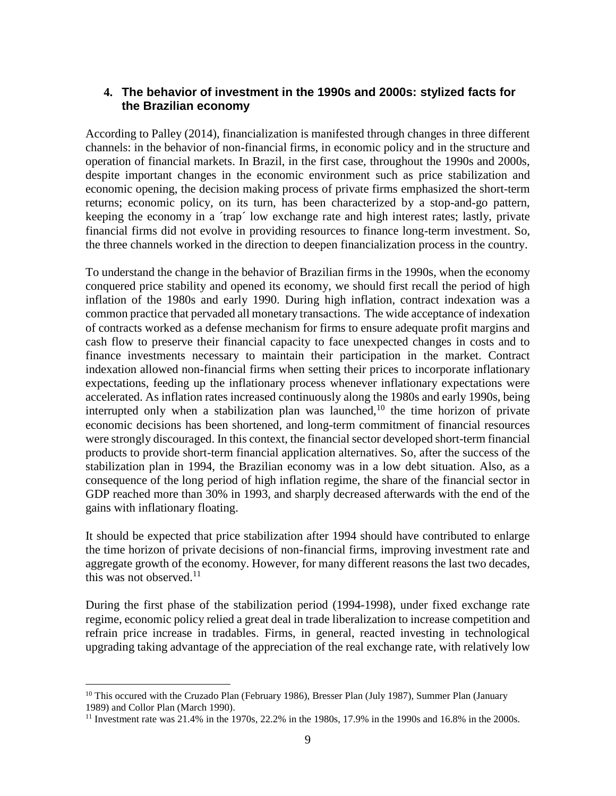## **4. The behavior of investment in the 1990s and 2000s: stylized facts for the Brazilian economy**

According to Palley (2014), financialization is manifested through changes in three different channels: in the behavior of non-financial firms, in economic policy and in the structure and operation of financial markets. In Brazil, in the first case, throughout the 1990s and 2000s, despite important changes in the economic environment such as price stabilization and economic opening, the decision making process of private firms emphasized the short-term returns; economic policy, on its turn, has been characterized by a stop-and-go pattern, keeping the economy in a ´trap´ low exchange rate and high interest rates; lastly, private financial firms did not evolve in providing resources to finance long-term investment. So, the three channels worked in the direction to deepen financialization process in the country.

To understand the change in the behavior of Brazilian firms in the 1990s, when the economy conquered price stability and opened its economy, we should first recall the period of high inflation of the 1980s and early 1990. During high inflation, contract indexation was a common practice that pervaded all monetary transactions. The wide acceptance of indexation of contracts worked as a defense mechanism for firms to ensure adequate profit margins and cash flow to preserve their financial capacity to face unexpected changes in costs and to finance investments necessary to maintain their participation in the market. Contract indexation allowed non-financial firms when setting their prices to incorporate inflationary expectations, feeding up the inflationary process whenever inflationary expectations were accelerated. As inflation rates increased continuously along the 1980s and early 1990s, being interrupted only when a stabilization plan was launched, $10$  the time horizon of private economic decisions has been shortened, and long-term commitment of financial resources were strongly discouraged. In this context, the financial sector developed short-term financial products to provide short-term financial application alternatives. So, after the success of the stabilization plan in 1994, the Brazilian economy was in a low debt situation. Also, as a consequence of the long period of high inflation regime, the share of the financial sector in GDP reached more than 30% in 1993, and sharply decreased afterwards with the end of the gains with inflationary floating.

It should be expected that price stabilization after 1994 should have contributed to enlarge the time horizon of private decisions of non-financial firms, improving investment rate and aggregate growth of the economy. However, for many different reasons the last two decades, this was not observed. $11$ 

During the first phase of the stabilization period (1994-1998), under fixed exchange rate regime, economic policy relied a great deal in trade liberalization to increase competition and refrain price increase in tradables. Firms, in general, reacted investing in technological upgrading taking advantage of the appreciation of the real exchange rate, with relatively low

<sup>&</sup>lt;sup>10</sup> This occured with the Cruzado Plan (February 1986), Bresser Plan (July 1987), Summer Plan (January 1989) and Collor Plan (March 1990).

<sup>&</sup>lt;sup>11</sup> Investment rate was 21.4% in the 1970s, 22.2% in the 1980s, 17.9% in the 1990s and 16.8% in the 2000s.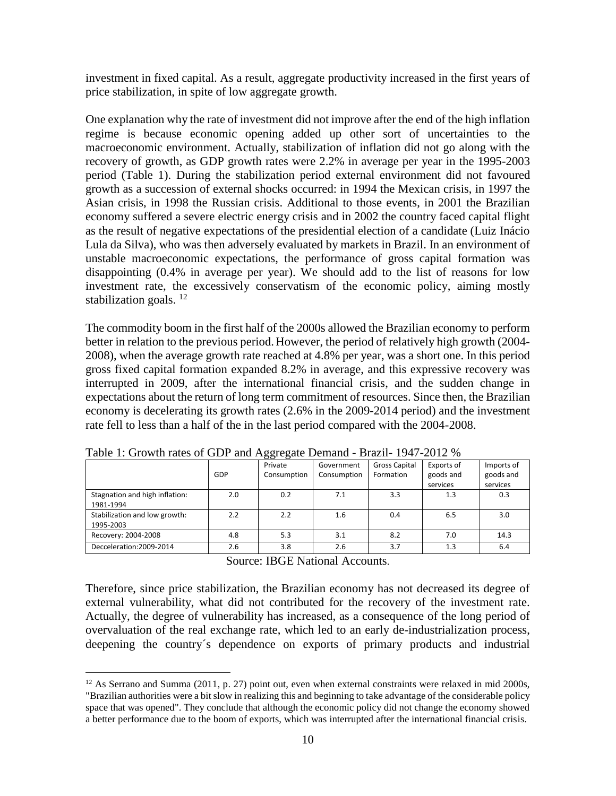investment in fixed capital. As a result, aggregate productivity increased in the first years of price stabilization, in spite of low aggregate growth.

One explanation why the rate of investment did not improve after the end of the high inflation regime is because economic opening added up other sort of uncertainties to the macroeconomic environment. Actually, stabilization of inflation did not go along with the recovery of growth, as GDP growth rates were 2.2% in average per year in the 1995-2003 period (Table 1). During the stabilization period external environment did not favoured growth as a succession of external shocks occurred: in 1994 the Mexican crisis, in 1997 the Asian crisis, in 1998 the Russian crisis. Additional to those events, in 2001 the Brazilian economy suffered a severe electric energy crisis and in 2002 the country faced capital flight as the result of negative expectations of the presidential election of a candidate (Luiz Inácio Lula da Silva), who was then adversely evaluated by markets in Brazil. In an environment of unstable macroeconomic expectations, the performance of gross capital formation was disappointing (0.4% in average per year). We should add to the list of reasons for low investment rate, the excessively conservatism of the economic policy, aiming mostly stabilization goals.<sup>12</sup>

The commodity boom in the first half of the 2000s allowed the Brazilian economy to perform better in relation to the previous period. However, the period of relatively high growth (2004- 2008), when the average growth rate reached at 4.8% per year, was a short one. In this period gross fixed capital formation expanded 8.2% in average, and this expressive recovery was interrupted in 2009, after the international financial crisis, and the sudden change in expectations about the return of long term commitment of resources. Since then, the Brazilian economy is decelerating its growth rates (2.6% in the 2009-2014 period) and the investment rate fell to less than a half of the in the last period compared with the 2004-2008.

|                                             |     | Private     | Government  | <b>Gross Capital</b> | Exports of | Imports of |
|---------------------------------------------|-----|-------------|-------------|----------------------|------------|------------|
|                                             | GDP | Consumption | Consumption | Formation            | goods and  | goods and  |
|                                             |     |             |             |                      | services   | services   |
| Stagnation and high inflation:<br>1981-1994 | 2.0 | 0.2         | 7.1         | 3.3                  | 1.3        | 0.3        |
| Stabilization and low growth:<br>1995-2003  | 2.2 | 2.2         | 1.6         | 0.4                  | 6.5        | 3.0        |
| Recovery: 2004-2008                         | 4.8 | 5.3         | 3.1         | 8.2                  | 7.0        | 14.3       |
| Decceleration: 2009-2014                    | 2.6 | 3.8         | 2.6         | 3.7                  | 1.3        | 6.4        |

Table 1: Growth rates of GDP and Aggregate Demand - Brazil- 1947-2012 %

Source: IBGE National Accounts.

Therefore, since price stabilization, the Brazilian economy has not decreased its degree of external vulnerability, what did not contributed for the recovery of the investment rate. Actually, the degree of vulnerability has increased, as a consequence of the long period of overvaluation of the real exchange rate, which led to an early de-industrialization process, deepening the country´s dependence on exports of primary products and industrial

<sup>&</sup>lt;sup>12</sup> As Serrano and Summa (2011, p. 27) point out, even when external constraints were relaxed in mid 2000s, "Brazilian authorities were a bit slow in realizing this and beginning to take advantage of the considerable policy space that was opened". They conclude that although the economic policy did not change the economy showed a better performance due to the boom of exports, which was interrupted after the international financial crisis.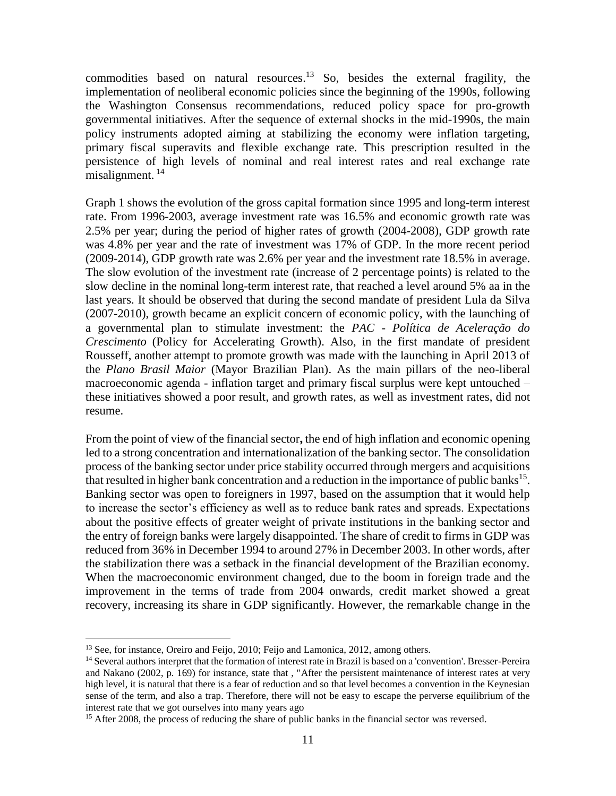commodities based on natural resources.<sup>13</sup> So, besides the external fragility, the implementation of neoliberal economic policies since the beginning of the 1990s, following the Washington Consensus recommendations, reduced policy space for pro-growth governmental initiatives. After the sequence of external shocks in the mid-1990s, the main policy instruments adopted aiming at stabilizing the economy were inflation targeting, primary fiscal superavits and flexible exchange rate. This prescription resulted in the persistence of high levels of nominal and real interest rates and real exchange rate misalignment.<sup>14</sup>

Graph 1 shows the evolution of the gross capital formation since 1995 and long-term interest rate. From 1996-2003, average investment rate was 16.5% and economic growth rate was 2.5% per year; during the period of higher rates of growth (2004-2008), GDP growth rate was 4.8% per year and the rate of investment was 17% of GDP. In the more recent period (2009-2014), GDP growth rate was 2.6% per year and the investment rate 18.5% in average. The slow evolution of the investment rate (increase of 2 percentage points) is related to the slow decline in the nominal long-term interest rate, that reached a level around 5% aa in the last years. It should be observed that during the second mandate of president Lula da Silva (2007-2010), growth became an explicit concern of economic policy, with the launching of a governmental plan to stimulate investment: the *PAC - Política de Aceleração do Crescimento* (Policy for Accelerating Growth). Also, in the first mandate of president Rousseff, another attempt to promote growth was made with the launching in April 2013 of the *Plano Brasil Maior* (Mayor Brazilian Plan). As the main pillars of the neo-liberal macroeconomic agenda - inflation target and primary fiscal surplus were kept untouched – these initiatives showed a poor result, and growth rates, as well as investment rates, did not resume.

From the point of view of the financial sector**,** the end of high inflation and economic opening led to a strong concentration and internationalization of the banking sector. The consolidation process of the banking sector under price stability occurred through mergers and acquisitions that resulted in higher bank concentration and a reduction in the importance of public banks<sup>15</sup>. Banking sector was open to foreigners in 1997, based on the assumption that it would help to increase the sector's efficiency as well as to reduce bank rates and spreads. Expectations about the positive effects of greater weight of private institutions in the banking sector and the entry of foreign banks were largely disappointed. The share of credit to firms in GDP was reduced from 36% in December 1994 to around 27% in December 2003. In other words, after the stabilization there was a setback in the financial development of the Brazilian economy. When the macroeconomic environment changed, due to the boom in foreign trade and the improvement in the terms of trade from 2004 onwards, credit market showed a great recovery, increasing its share in GDP significantly. However, the remarkable change in the

<sup>&</sup>lt;sup>13</sup> See, for instance, Oreiro and Feijo, 2010; Feijo and Lamonica, 2012, among others.

<sup>14</sup> Several authors interpret that the formation of interest rate in Brazil is based on a 'convention'. Bresser-Pereira and Nakano (2002, p. 169) for instance, state that , "After the persistent maintenance of interest rates at very high level, it is natural that there is a fear of reduction and so that level becomes a convention in the Keynesian sense of the term, and also a trap. Therefore, there will not be easy to escape the perverse equilibrium of the interest rate that we got ourselves into many years ago

<sup>&</sup>lt;sup>15</sup> After 2008, the process of reducing the share of public banks in the financial sector was reversed.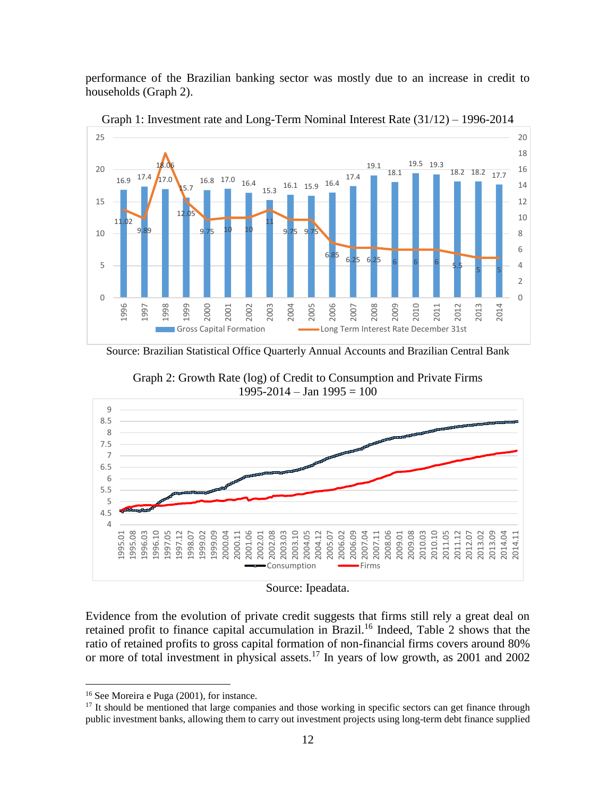performance of the Brazilian banking sector was mostly due to an increase in credit to households (Graph 2).



Graph 1: Investment rate and Long-Term Nominal Interest Rate (31/12) – 1996-2014

Source: Brazilian Statistical Office Quarterly Annual Accounts and Brazilian Central Bank



Graph 2: Growth Rate (log) of Credit to Consumption and Private Firms 1995-2014 – Jan 1995 = 100

Source: Ipeadata.

Evidence from the evolution of private credit suggests that firms still rely a great deal on retained profit to finance capital accumulation in Brazil.<sup>16</sup> Indeed, Table 2 shows that the ratio of retained profits to gross capital formation of non-financial firms covers around 80% or more of total investment in physical assets.<sup>17</sup> In years of low growth, as 2001 and 2002

<sup>16</sup> See Moreira e Puga (2001), for instance.

<sup>&</sup>lt;sup>17</sup> It should be mentioned that large companies and those working in specific sectors can get finance through public investment banks, allowing them to carry out investment projects using long-term debt finance supplied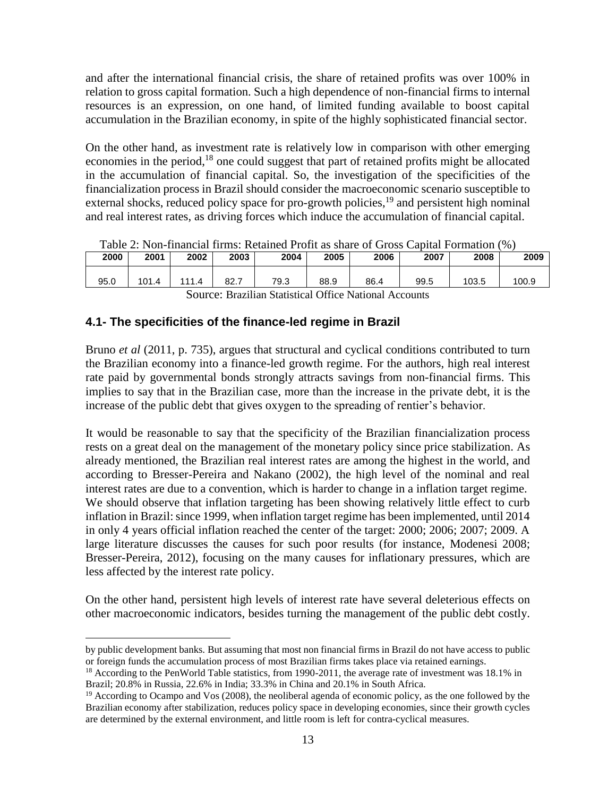and after the international financial crisis, the share of retained profits was over 100% in relation to gross capital formation. Such a high dependence of non-financial firms to internal resources is an expression, on one hand, of limited funding available to boost capital accumulation in the Brazilian economy, in spite of the highly sophisticated financial sector.

On the other hand, as investment rate is relatively low in comparison with other emerging economies in the period,<sup>18</sup> one could suggest that part of retained profits might be allocated in the accumulation of financial capital. So, the investigation of the specificities of the financialization process in Brazil should consider the macroeconomic scenario susceptible to external shocks, reduced policy space for pro-growth policies,<sup>19</sup> and persistent high nominal and real interest rates, as driving forces which induce the accumulation of financial capital.

| lable 2: Non-financial firms: Retained Profit as share of Gross Capital Formation (%) |       |      |      |      |      |      |      |       |       |
|---------------------------------------------------------------------------------------|-------|------|------|------|------|------|------|-------|-------|
| 2000                                                                                  | 2001  | 2002 | 2003 | 2004 | 2005 | 2006 | 2007 | 2008  | 2009  |
| 95.0                                                                                  | 101.4 |      | 82.7 | 79.3 | 88.9 | 86.4 | 99.5 | 103.5 | 100.9 |

|  | Table 2: Non-financial firms: Retained Profit as share of Gross Capital Formation (%) |  |  |  |  |  |
|--|---------------------------------------------------------------------------------------|--|--|--|--|--|
|--|---------------------------------------------------------------------------------------|--|--|--|--|--|

Source: Brazilian Statistical Office National Accounts

#### **4.1- The specificities of the finance-led regime in Brazil**

 $\overline{a}$ 

Bruno *et al* (2011, p. 735), argues that structural and cyclical conditions contributed to turn the Brazilian economy into a finance-led growth regime. For the authors, high real interest rate paid by governmental bonds strongly attracts savings from non-financial firms. This implies to say that in the Brazilian case, more than the increase in the private debt, it is the increase of the public debt that gives oxygen to the spreading of rentier's behavior.

It would be reasonable to say that the specificity of the Brazilian financialization process rests on a great deal on the management of the monetary policy since price stabilization. As already mentioned, the Brazilian real interest rates are among the highest in the world, and according to Bresser-Pereira and Nakano (2002), the high level of the nominal and real interest rates are due to a convention, which is harder to change in a inflation target regime. We should observe that inflation targeting has been showing relatively little effect to curb inflation in Brazil: since 1999, when inflation target regime has been implemented, until 2014 in only 4 years official inflation reached the center of the target: 2000; 2006; 2007; 2009. A large literature discusses the causes for such poor results (for instance, Modenesi 2008; Bresser-Pereira, 2012), focusing on the many causes for inflationary pressures, which are less affected by the interest rate policy.

On the other hand, persistent high levels of interest rate have several deleterious effects on other macroeconomic indicators, besides turning the management of the public debt costly.

by public development banks. But assuming that most non financial firms in Brazil do not have access to public or foreign funds the accumulation process of most Brazilian firms takes place via retained earnings.

 $18$  According to the PenWorld Table statistics, from 1990-2011, the average rate of investment was 18.1% in Brazil; 20.8% in Russia, 22.6% in India; 33.3% in China and 20.1% in South Africa.

<sup>&</sup>lt;sup>19</sup> According to Ocampo and Vos (2008), the neoliberal agenda of economic policy, as the one followed by the Brazilian economy after stabilization, reduces policy space in developing economies, since their growth cycles are determined by the external environment, and little room is left for contra-cyclical measures.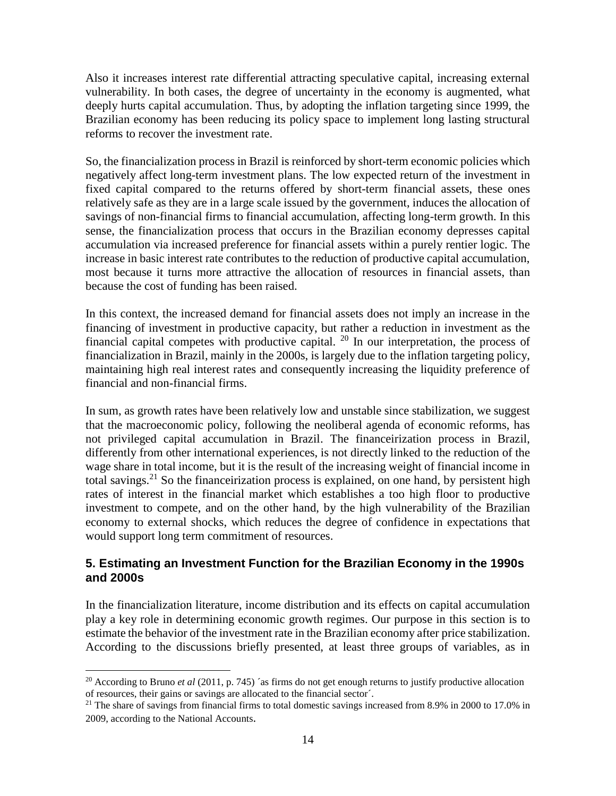Also it increases interest rate differential attracting speculative capital, increasing external vulnerability. In both cases, the degree of uncertainty in the economy is augmented, what deeply hurts capital accumulation. Thus, by adopting the inflation targeting since 1999, the Brazilian economy has been reducing its policy space to implement long lasting structural reforms to recover the investment rate.

So, the financialization process in Brazil is reinforced by short-term economic policies which negatively affect long-term investment plans. The low expected return of the investment in fixed capital compared to the returns offered by short-term financial assets, these ones relatively safe as they are in a large scale issued by the government, induces the allocation of savings of non-financial firms to financial accumulation, affecting long-term growth. In this sense, the financialization process that occurs in the Brazilian economy depresses capital accumulation via increased preference for financial assets within a purely rentier logic. The increase in basic interest rate contributes to the reduction of productive capital accumulation, most because it turns more attractive the allocation of resources in financial assets, than because the cost of funding has been raised.

In this context, the increased demand for financial assets does not imply an increase in the financing of investment in productive capacity, but rather a reduction in investment as the financial capital competes with productive capital. <sup>20</sup> In our interpretation, the process of financialization in Brazil, mainly in the 2000s, is largely due to the inflation targeting policy, maintaining high real interest rates and consequently increasing the liquidity preference of financial and non-financial firms.

In sum, as growth rates have been relatively low and unstable since stabilization, we suggest that the macroeconomic policy, following the neoliberal agenda of economic reforms, has not privileged capital accumulation in Brazil. The financeirization process in Brazil, differently from other international experiences, is not directly linked to the reduction of the wage share in total income, but it is the result of the increasing weight of financial income in total savings.<sup>21</sup> So the financeirization process is explained, on one hand, by persistent high rates of interest in the financial market which establishes a too high floor to productive investment to compete, and on the other hand, by the high vulnerability of the Brazilian economy to external shocks, which reduces the degree of confidence in expectations that would support long term commitment of resources.

## **5. Estimating an Investment Function for the Brazilian Economy in the 1990s and 2000s**

In the financialization literature, income distribution and its effects on capital accumulation play a key role in determining economic growth regimes. Our purpose in this section is to estimate the behavior of the investment rate in the Brazilian economy after price stabilization. According to the discussions briefly presented, at least three groups of variables, as in

<sup>&</sup>lt;sup>20</sup> According to Bruno *et al* (2011, p. 745) <sup>20</sup> as firms do not get enough returns to justify productive allocation of resources, their gains or savings are allocated to the financial sector´.

<sup>&</sup>lt;sup>21</sup> The share of savings from financial firms to total domestic savings increased from 8.9% in 2000 to 17.0% in 2009, according to the National Accounts.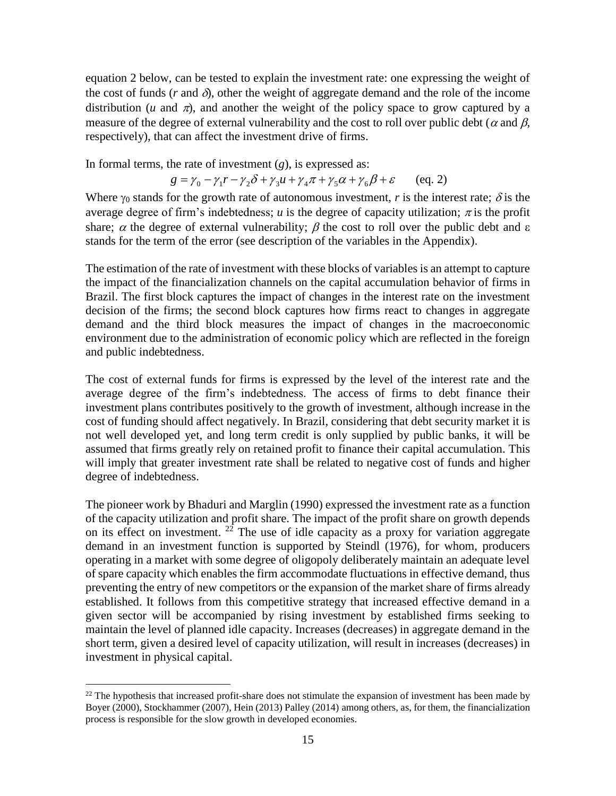equation 2 below, can be tested to explain the investment rate: one expressing the weight of the cost of funds ( $r$  and  $\delta$ ), other the weight of aggregate demand and the role of the income distribution ( $u$  and  $\pi$ ), and another the weight of the policy space to grow captured by a measure of the degree of external vulnerability and the cost to roll over public debt ( $\alpha$  and  $\beta$ , respectively), that can affect the investment drive of firms.

In formal terms, the rate of investment (*g*), is expressed as:

$$
g = \gamma_0 - \gamma_1 r - \gamma_2 \delta + \gamma_3 u + \gamma_4 \pi + \gamma_5 \alpha + \gamma_6 \beta + \varepsilon \qquad (eq. 2)
$$

Where  $\gamma_0$  stands for the growth rate of autonomous investment, *r* is the interest rate;  $\delta$  is the average degree of firm's indebtedness; *u* is the degree of capacity utilization;  $\pi$  is the profit share;  $\alpha$  the degree of external vulnerability;  $\beta$  the cost to roll over the public debt and  $\epsilon$ stands for the term of the error (see description of the variables in the Appendix).

The estimation of the rate of investment with these blocks of variables is an attempt to capture the impact of the financialization channels on the capital accumulation behavior of firms in Brazil. The first block captures the impact of changes in the interest rate on the investment decision of the firms; the second block captures how firms react to changes in aggregate demand and the third block measures the impact of changes in the macroeconomic environment due to the administration of economic policy which are reflected in the foreign and public indebtedness.

The cost of external funds for firms is expressed by the level of the interest rate and the average degree of the firm's indebtedness. The access of firms to debt finance their investment plans contributes positively to the growth of investment, although increase in the cost of funding should affect negatively. In Brazil, considering that debt security market it is not well developed yet, and long term credit is only supplied by public banks, it will be assumed that firms greatly rely on retained profit to finance their capital accumulation. This will imply that greater investment rate shall be related to negative cost of funds and higher degree of indebtedness.

The pioneer work by Bhaduri and Marglin (1990) expressed the investment rate as a function of the capacity utilization and profit share. The impact of the profit share on growth depends on its effect on investment.  $2^{\frac{1}{2}}$  The use of idle capacity as a proxy for variation aggregate demand in an investment function is supported by Steindl (1976), for whom, producers operating in a market with some degree of oligopoly deliberately maintain an adequate level of spare capacity which enables the firm accommodate fluctuations in effective demand, thus preventing the entry of new competitors or the expansion of the market share of firms already established. It follows from this competitive strategy that increased effective demand in a given sector will be accompanied by rising investment by established firms seeking to maintain the level of planned idle capacity. Increases (decreases) in aggregate demand in the short term, given a desired level of capacity utilization, will result in increases (decreases) in investment in physical capital.

<sup>&</sup>lt;sup>22</sup> The hypothesis that increased profit-share does not stimulate the expansion of investment has been made by Boyer (2000), Stockhammer (2007), Hein (2013) Palley (2014) among others, as, for them, the financialization process is responsible for the slow growth in developed economies.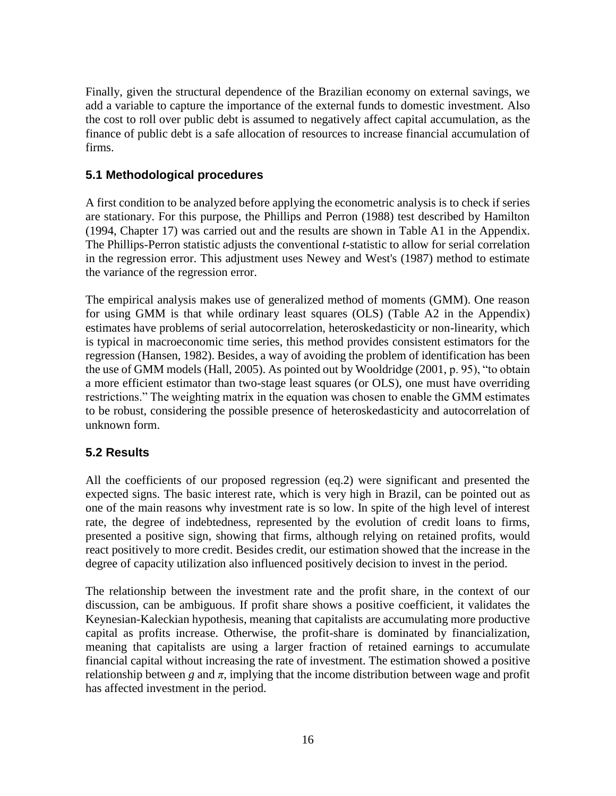Finally, given the structural dependence of the Brazilian economy on external savings, we add a variable to capture the importance of the external funds to domestic investment. Also the cost to roll over public debt is assumed to negatively affect capital accumulation, as the finance of public debt is a safe allocation of resources to increase financial accumulation of firms.

## **5.1 Methodological procedures**

A first condition to be analyzed before applying the econometric analysis is to check if series are stationary. For this purpose, the Phillips and Perron (1988) test described by Hamilton (1994, Chapter 17) was carried out and the results are shown in Table A1 in the Appendix. The Phillips-Perron statistic adjusts the conventional *t*-statistic to allow for serial correlation in the regression error. This adjustment uses Newey and West's (1987) method to estimate the variance of the regression error.

The empirical analysis makes use of generalized method of moments (GMM). One reason for using GMM is that while ordinary least squares (OLS) (Table A2 in the Appendix) estimates have problems of serial autocorrelation, heteroskedasticity or non-linearity, which is typical in macroeconomic time series, this method provides consistent estimators for the regression (Hansen, 1982). Besides, a way of avoiding the problem of identification has been the use of GMM models (Hall, 2005). As pointed out by Wooldridge (2001, p. 95), "to obtain a more efficient estimator than two-stage least squares (or OLS), one must have overriding restrictions." The weighting matrix in the equation was chosen to enable the GMM estimates to be robust, considering the possible presence of heteroskedasticity and autocorrelation of unknown form.

## **5.2 Results**

All the coefficients of our proposed regression (eq.2) were significant and presented the expected signs. The basic interest rate, which is very high in Brazil, can be pointed out as one of the main reasons why investment rate is so low. In spite of the high level of interest rate, the degree of indebtedness, represented by the evolution of credit loans to firms, presented a positive sign, showing that firms, although relying on retained profits, would react positively to more credit. Besides credit, our estimation showed that the increase in the degree of capacity utilization also influenced positively decision to invest in the period.

The relationship between the investment rate and the profit share, in the context of our discussion, can be ambiguous. If profit share shows a positive coefficient, it validates the Keynesian-Kaleckian hypothesis, meaning that capitalists are accumulating more productive capital as profits increase. Otherwise, the profit-share is dominated by financialization, meaning that capitalists are using a larger fraction of retained earnings to accumulate financial capital without increasing the rate of investment. The estimation showed a positive relationship between *g* and  $\pi$ , implying that the income distribution between wage and profit has affected investment in the period.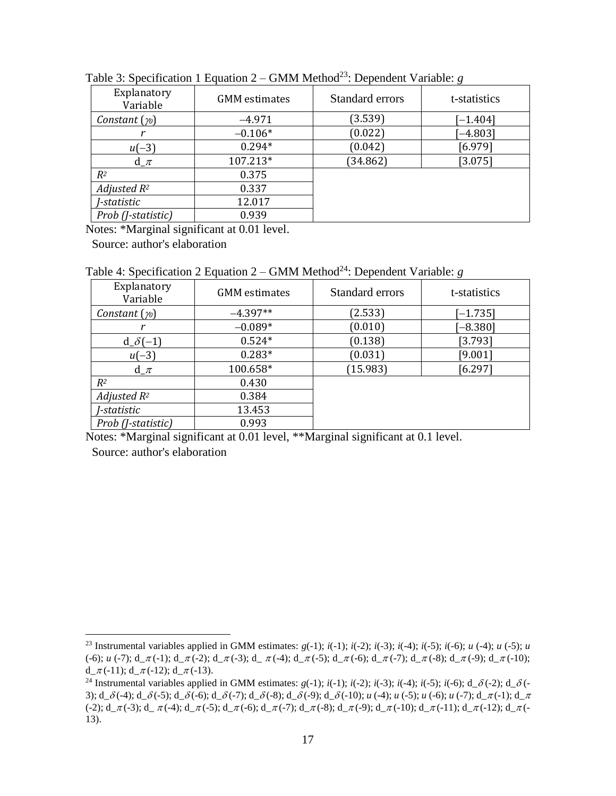| Explanatory<br>Variable | <b>GMM</b> estimates | Standard errors | t-statistics |
|-------------------------|----------------------|-----------------|--------------|
| Constant $(\gamma_0)$   | $-4.971$             | (3.539)         | $[-1.404]$   |
|                         | $-0.106*$            | (0.022)         | $-4.803$     |
| $u(-3)$                 | $0.294*$             | (0.042)         | [6.979]      |
| $d_\mathcal{I}$         | 107.213*             | (34.862)        | $[3.075]$    |
| $R^2$                   | 0.375                |                 |              |
| Adjusted $R^2$          | 0.337                |                 |              |
| <i>J-statistic</i>      | 12.017               |                 |              |
| Prob (J-statistic)      | 0.939                |                 |              |

Table 3: Specification 1 Equation  $2 - GMM$  Method<sup>23</sup>: Dependent Variable: *g* 

Notes: \*Marginal significant at 0.01 level.

Source: author's elaboration

Table 4: Specification 2 Equation 2 – GMM Method<sup>24</sup>: Dependent Variable: *g* 

| Explanatory<br>Variable     | <b>GMM</b> estimates | Standard errors | t-statistics |
|-----------------------------|----------------------|-----------------|--------------|
| Constant $(\gamma_0)$       | $-4.397**$           | (2.533)         | $[-1.735]$   |
|                             | $-0.089*$            | (0.010)         | $-8.380$ ]   |
| $d_{\sigma}\delta(-1)$      | $0.524*$             | (0.138)         | [3.793]      |
| $u(-3)$                     | $0.283*$             | (0.031)         | [9.001]      |
| $d_{\mathcal{I}}$           | 100.658*             | (15.983)        | [6.297]      |
| $R^2$                       | 0.430                |                 |              |
| Adjusted $R^2$              | 0.384                |                 |              |
| J-statistic                 | 13.453               |                 |              |
| Prob ( <i>J</i> -statistic) | 0.993                |                 |              |

Notes: \*Marginal significant at 0.01 level, \*\*Marginal significant at 0.1 level.

Source: author's elaboration

<sup>&</sup>lt;sup>23</sup> Instrumental variables applied in GMM estimates:  $g(-1)$ ;  $i(-1)$ ;  $i(-2)$ ;  $i(-3)$ ;  $i(-4)$ ;  $i(-5)$ ; *u*  $(-4)$ ; *u*  $(-5)$ ; *u*  $(-6)$ ; *u*  $(-7)$ ;  $d_{\pi}(-1)$ ;  $d_{\pi}(-2)$ ;  $d_{\pi}(-3)$ ;  $d_{\pi}(-4)$ ;  $d_{\pi}(-5)$ ;  $d_{\pi}(-6)$ ;  $d_{\pi}(-7)$ ;  $d_{\pi}(-8)$ ;  $d_{\pi}(-9)$ ;  $d_{\pi}(-10)$ ; d  $\pi$ (-11); d  $\pi$ (-12); d  $\pi$ (-13).

<sup>24</sup> Instrumental variables applied in GMM estimates:  $g(-1)$ ;  $i(-1)$ ;  $i(-2)$ ;  $i(-3)$ ;  $i(-4)$ ;  $i(-5)$ ;  $i(-6)$ ; d\_ $\delta$ (-2); d\_ $\delta$ (-3);  $d_0 = \delta(-4)$ ;  $d_0 = \delta(-5)$ ;  $d_0 = \delta(-6)$ ;  $d_0 = \delta(-7)$ ;  $d_0 = \delta(-8)$ ;  $d_0 = \delta(-10)$ ;  $u_0 = \delta(-10)$ ;  $u_0 = \delta(-1)$ ;  $u_0 = \delta(-1)$ ;  $d_0 = \pi(-1)$ ;  $d_0 = \pi(-1)$ ;  $d_0 = \pi(-1)$ ;  $d_1 = \pi(-1)$ ;  $d_1 = \pi(-1)$ ;  $d_1 = \pi(-1)$ ;  $d_1 = \pi(-1)$ ;  $d_2 = \pi$  $(-2); d_\pi(-3); d_\pi(-4); d_\pi(-5); d_\pi(-6); d_\pi(-7); d_\pi(-8); d_\pi(-9); d_\pi(-10); d_\pi(-11); d_\pi(-12); d_\pi(-11);$ 13).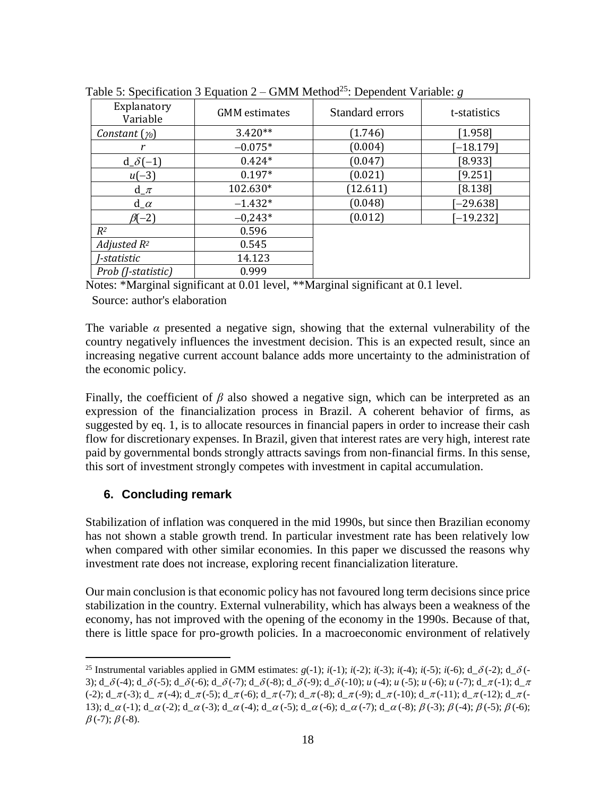| Explanatory<br>Variable     | <b>GMM</b> estimates | Standard errors | t-statistics |
|-----------------------------|----------------------|-----------------|--------------|
| Constant $(\gamma_0)$       | $3.420**$            | (1.746)         | [1.958]      |
|                             | $-0.075*$            | (0.004)         | $[-18.179]$  |
| $d_{\sigma}\delta(-1)$      | $0.424*$             | (0.047)         | [8.933]      |
| $u(-3)$                     | $0.197*$             | (0.021)         | [9.251]      |
| $d_{\mathcal{I}}$           | 102.630*             | (12.611)        | [8.138]      |
| $d_{\alpha}$                | $-1.432*$            | (0.048)         | $[-29.638]$  |
| $\beta(-2)$                 | $-0,243*$            | (0.012)         | $[-19.232]$  |
| $R^2$                       | 0.596                |                 |              |
| Adjusted $R^2$              | 0.545                |                 |              |
| J-statistic                 | 14.123               |                 |              |
| Prob ( <i>J</i> -statistic) | 0.999                |                 |              |

Table 5: Specification 3 Equation 2 – GMM Method<sup>25</sup>: Dependent Variable: *g* 

Notes: \*Marginal significant at 0.01 level, \*\*Marginal significant at 0.1 level.

Source: author's elaboration

The variable  $\alpha$  presented a negative sign, showing that the external vulnerability of the country negatively influences the investment decision. This is an expected result, since an increasing negative current account balance adds more uncertainty to the administration of the economic policy.

Finally, the coefficient of *β* also showed a negative sign, which can be interpreted as an expression of the financialization process in Brazil. A coherent behavior of firms, as suggested by eq. 1, is to allocate resources in financial papers in order to increase their cash flow for discretionary expenses. In Brazil, given that interest rates are very high, interest rate paid by governmental bonds strongly attracts savings from non-financial firms. In this sense, this sort of investment strongly competes with investment in capital accumulation.

# **6. Concluding remark**

 $\overline{a}$ 

Stabilization of inflation was conquered in the mid 1990s, but since then Brazilian economy has not shown a stable growth trend. In particular investment rate has been relatively low when compared with other similar economies. In this paper we discussed the reasons why investment rate does not increase, exploring recent financialization literature.

Our main conclusion is that economic policy has not favoured long term decisions since price stabilization in the country. External vulnerability, which has always been a weakness of the economy, has not improved with the opening of the economy in the 1990s. Because of that, there is little space for pro-growth policies. In a macroeconomic environment of relatively

<sup>&</sup>lt;sup>25</sup> Instrumental variables applied in GMM estimates:  $g(-1)$ ;  $i(-1)$ ;  $i(-2)$ ;  $i(-3)$ ;  $i(-4)$ ;  $i(-5)$ ;  $i(-6)$ ;  $d_0(-2)$ ;  $d_0(-2)$ 3);  $d_{\alpha}\delta(-4)$ ;  $d_{\alpha}\delta(-5)$ ;  $d_{\alpha}\delta(-6)$ ;  $d_{\alpha}\delta(-7)$ ;  $d_{\alpha}\delta(-8)$ ;  $d_{\alpha}\delta(-9)$ ;  $d_{\alpha}\delta(-10)$ ; *u* (-4); *u* (-5); *u* (-6); *u* (-7);  $d_{\alpha}\pi(-1)$ ;  $d_{\alpha}\pi$  $(-2);$  d\_ $\pi$  $(-3);$  d\_ $\pi$  $(-4);$  d\_ $\pi$  $(-5);$  d\_ $\pi$  $(-6);$  d\_ $\pi$  $(-7);$  d\_ $\pi$  $(-8);$  d\_ $\pi$  $(-9);$  d\_ $\pi$  $(-10);$  d\_ $\pi$  $(-11);$  d\_ $\pi$  $(-12);$  d\_ $\pi$  $(-11);$ 13);  $d_a(\alpha-1)$ ;  $d_a(\alpha-2)$ ;  $d_a(\alpha-3)$ ;  $d_a(\alpha-4)$ ;  $d_a(\alpha-5)$ ;  $d_a(\alpha-6)$ ;  $d_a(\alpha-7)$ ;  $d_a(\alpha-8)$ ;  $\beta(-3)$ ;  $\beta(-4)$ ;  $\beta(-5)$ ;  $\beta(-6)$ ;  $\beta$  (-7);  $\beta$  (-8).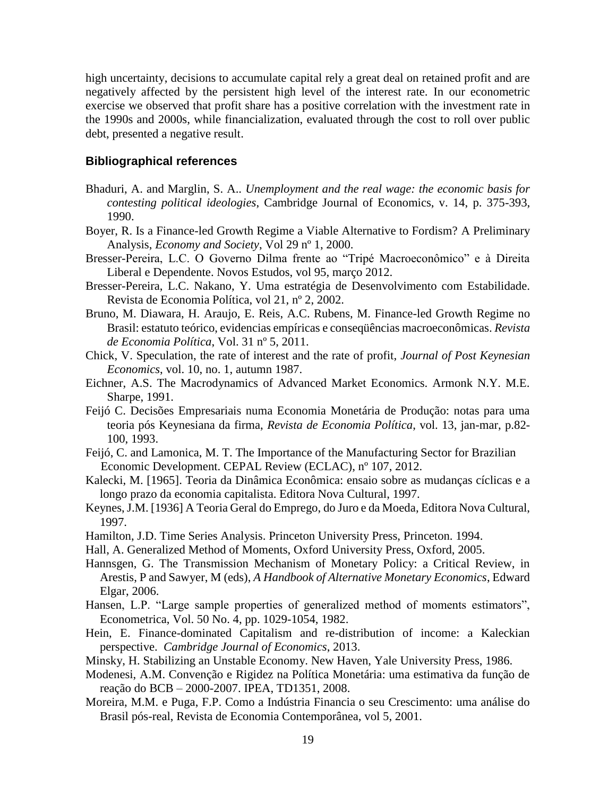high uncertainty, decisions to accumulate capital rely a great deal on retained profit and are negatively affected by the persistent high level of the interest rate. In our econometric exercise we observed that profit share has a positive correlation with the investment rate in the 1990s and 2000s, while financialization, evaluated through the cost to roll over public debt, presented a negative result.

## **Bibliographical references**

- Bhaduri, A. and Marglin, S. A.. *Unemployment and the real wage: the economic basis for contesting political ideologies*, Cambridge Journal of Economics, v. 14, p. 375-393, 1990.
- Boyer, R. Is a Finance-led Growth Regime a Viable Alternative to Fordism? A Preliminary Analysis, *Economy and Society*, Vol 29 nº 1, 2000.
- Bresser-Pereira, L.C. O Governo Dilma frente ao "Tripé Macroeconômico" e à Direita Liberal e Dependente. Novos Estudos, vol 95, março 2012.
- Bresser-Pereira, L.C. Nakano, Y. Uma estratégia de Desenvolvimento com Estabilidade. Revista de Economia Política, vol 21, nº 2, 2002.
- Bruno, M. Diawara, H. Araujo, E. Reis, A.C. Rubens, M. Finance-led Growth Regime no Brasil: estatuto teórico, evidencias empíricas e conseqüências macroeconômicas. *Revista de Economia Política*, Vol. 31 nº 5, 2011.
- Chick, V. Speculation, the rate of interest and the rate of profit, *Journal of Post Keynesian Economics*, vol. 10, no. 1, autumn 1987.
- Eichner, A.S. The Macrodynamics of Advanced Market Economics. Armonk N.Y. M.E. Sharpe, 1991.
- Feijó C. Decisões Empresariais numa Economia Monetária de Produção: notas para uma teoria pós Keynesiana da firma, *Revista de Economia Política*, vol. 13, jan-mar, p.82- 100, 1993.
- Feijó, C. and Lamonica, M. T. The Importance of the Manufacturing Sector for Brazilian Economic Development. CEPAL Review (ECLAC), nº 107, 2012.
- Kalecki, M. [1965]. Teoria da Dinâmica Econômica: ensaio sobre as mudanças cíclicas e a longo prazo da economia capitalista. Editora Nova Cultural, 1997.
- Keynes, J.M. [1936] A Teoria Geral do Emprego, do Juro e da Moeda, Editora Nova Cultural, 1997.
- Hamilton, J.D. Time Series Analysis. Princeton University Press, Princeton. 1994.
- Hall, A. Generalized Method of Moments, Oxford University Press, Oxford, 2005.
- Hannsgen, G. The Transmission Mechanism of Monetary Policy: a Critical Review, in Arestis, P and Sawyer, M (eds), *A Handbook of Alternative Monetary Economics*, Edward Elgar, 2006.
- Hansen, L.P. "Large sample properties of generalized method of moments estimators", Econometrica, Vol. 50 No. 4, pp. 1029-1054, 1982.
- Hein, E. Finance-dominated Capitalism and re-distribution of income: a Kaleckian perspective. *Cambridge Journal of Economics*, 2013.
- Minsky, H. Stabilizing an Unstable Economy. New Haven, Yale University Press, 1986.
- Modenesi, A.M. Convenção e Rigidez na Política Monetária: uma estimativa da função de reação do BCB – 2000-2007. IPEA, TD1351, 2008.
- Moreira, M.M. e Puga, F.P. Como a Indústria Financia o seu Crescimento: uma análise do Brasil pós-real, Revista de Economia Contemporânea, vol 5, 2001.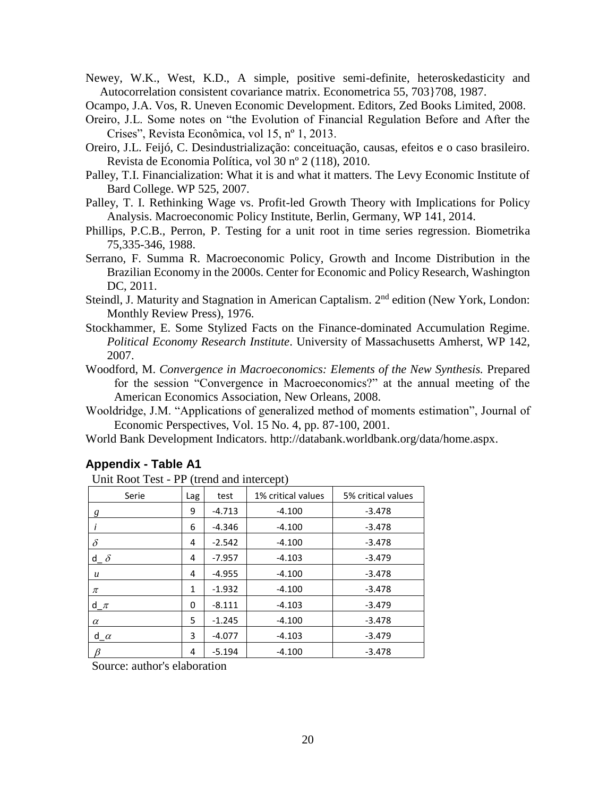Newey, W.K., West, K.D., A simple, positive semi-definite, heteroskedasticity and Autocorrelation consistent covariance matrix. Econometrica 55, 703}708, 1987.

Ocampo, J.A. Vos, R. Uneven Economic Development. Editors, Zed Books Limited, 2008.

- Oreiro, J.L. Some notes on "the Evolution of Financial Regulation Before and After the Crises", Revista Econômica, vol 15, nº 1, 2013.
- Oreiro, J.L. Feijó, C. Desindustrialização: conceituação, causas, efeitos e o caso brasileiro. Revista de Economia Política, vol 30 nº 2 (118), 2010.
- Palley, T.I. Financialization: What it is and what it matters. The Levy Economic Institute of Bard College. WP 525, 2007.
- Palley, T. I. Rethinking Wage vs. Profit-led Growth Theory with Implications for Policy Analysis. Macroeconomic Policy Institute, Berlin, Germany, WP 141, 2014.
- Phillips, P.C.B., Perron, P. Testing for a unit root in time series regression. Biometrika 75,335-346, 1988.
- Serrano, F. Summa R. Macroeconomic Policy, Growth and Income Distribution in the Brazilian Economy in the 2000s. Center for Economic and Policy Research, Washington DC, 2011.
- Steindl, J. Maturity and Stagnation in American Captalism. 2<sup>nd</sup> edition (New York, London: Monthly Review Press), 1976.
- Stockhammer, E. Some Stylized Facts on the Finance-dominated Accumulation Regime. *Political Economy Research Institute*. University of Massachusetts Amherst, WP 142, 2007.
- Woodford, M. *Convergence in Macroeconomics: Elements of the New Synthesis.* Prepared for the session "Convergence in Macroeconomics?" at the annual meeting of the American Economics Association, New Orleans, 2008.
- Wooldridge, J.M. "Applications of generalized method of moments estimation", Journal of Economic Perspectives, Vol. 15 No. 4, pp. 87-100, 2001.
- World Bank Development Indicators. http://databank.worldbank.org/data/home.aspx.

| Unit Root Test - PP (trend and intercept) |     |          |                    |                    |  |
|-------------------------------------------|-----|----------|--------------------|--------------------|--|
| Serie                                     | Lag | test     | 1% critical values | 5% critical values |  |
| g                                         | 9   | $-4.713$ | $-4.100$           | $-3.478$           |  |
|                                           | 6   | $-4.346$ | $-4.100$           | $-3.478$           |  |
| $\delta$                                  | 4   | $-2.542$ | $-4.100$           | $-3.478$           |  |
| d $\delta$                                | 4   | $-7.957$ | $-4.103$           | $-3.479$           |  |
| $\boldsymbol{u}$                          | 4   | $-4.955$ | $-4.100$           | $-3.478$           |  |
| π                                         | 1   | $-1.932$ | $-4.100$           | $-3.478$           |  |
| $d_{\mathcal{I}}$                         | 0   | $-8.111$ | $-4.103$           | $-3.479$           |  |
| $\alpha$                                  | 5   | $-1.245$ | $-4.100$           | $-3.478$           |  |
| $d_{\alpha}$                              | 3   | $-4.077$ | $-4.103$           | $-3.479$           |  |
|                                           | 4   | $-5.194$ | $-4.100$           | $-3.478$           |  |

#### **Appendix - Table A1**

Source: author's elaboration